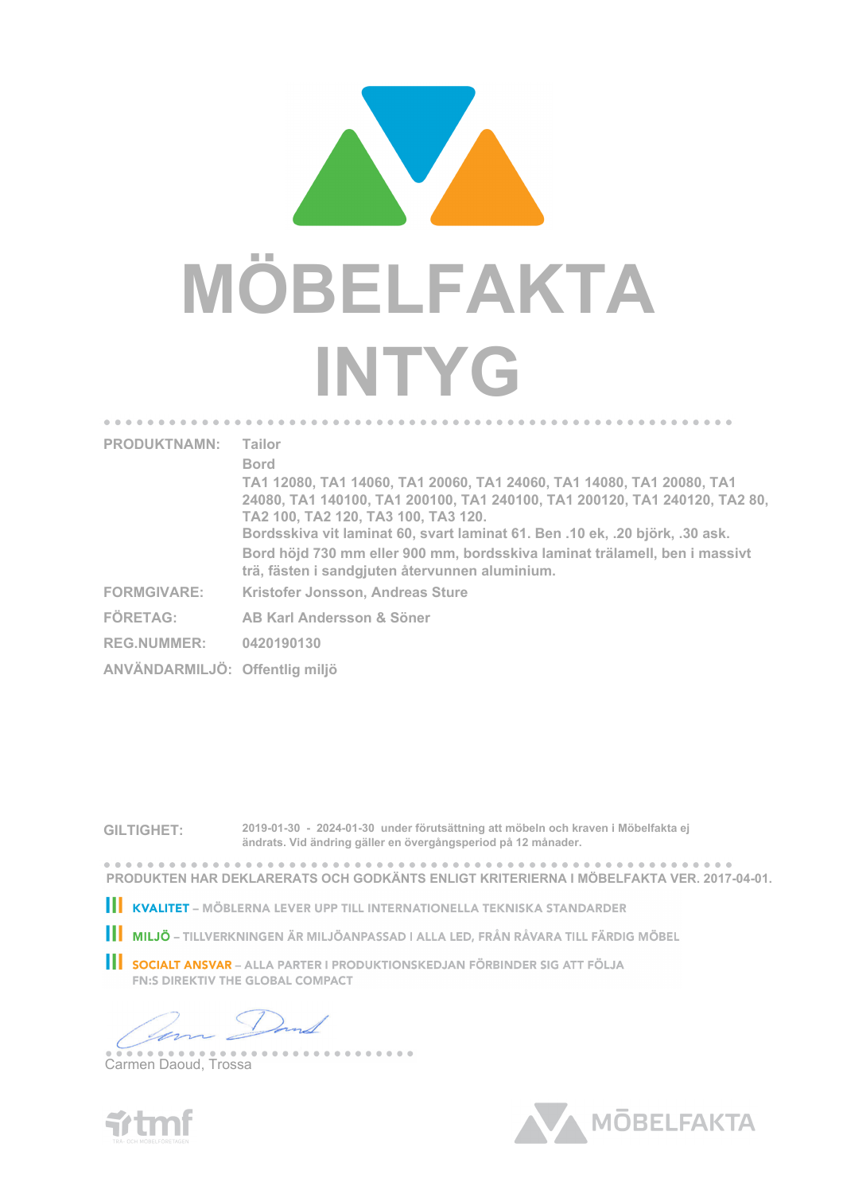

| <b>PRODUKTNAMN:</b>            | Tailor<br><b>Bord</b><br>TA1 12080, TA1 14060, TA1 20060, TA1 24060, TA1 14080, TA1 20080, TA1<br>24080, TA1 140100, TA1 200100, TA1 240100, TA1 200120, TA1 240120, TA2 80,<br>TA2 100, TA2 120, TA3 100, TA3 120,<br>Bordsskiva vit laminat 60, svart laminat 61. Ben .10 ek, .20 björk, .30 ask. |
|--------------------------------|-----------------------------------------------------------------------------------------------------------------------------------------------------------------------------------------------------------------------------------------------------------------------------------------------------|
|                                | Bord höjd 730 mm eller 900 mm, bordsskiva laminat trälamell, ben i massivt<br>trä, fästen i sandgjuten återvunnen aluminium.                                                                                                                                                                        |
| <b>FORMGIVARE:</b>             | Kristofer Jonsson, Andreas Sture                                                                                                                                                                                                                                                                    |
| <b>FÖRETAG:</b>                | AB Karl Andersson & Söner                                                                                                                                                                                                                                                                           |
| <b>REG.NUMMER:</b>             | 0420190130                                                                                                                                                                                                                                                                                          |
| ANVÄNDARMILJÖ: Offentlig miljö |                                                                                                                                                                                                                                                                                                     |
|                                |                                                                                                                                                                                                                                                                                                     |

**GILTIGHET: 2019-01-30 - 2024-01-30 under förutsättning att möbeln och kraven i Möbelfakta ej ändrats. Vid ändring gäller en övergångsperiod på 12 månader.**

. . . . . . . . **PRODUKTEN HAR DEKLARERATS OCH GODKÄNTS ENLIGT KRITERIERNA I MÖBELFAKTA VER. 2017-04-01.**

**III KVALITET** – MÖBLERNA LEVER UPP TILL INTERNATIONELLA TEKNISKA STANDARDER

**III MILJÖ** – TILLVERKNINGEN ÄR MILJÖANPASSAD I ALLA LED, FRÅN RÅVARA TILL FÄRDIG MÖBEL

SOCIALT ANSVAR - ALLA PARTER I PRODUKTIONSKEDJAN FÖRBINDER SIG ATT FÖLJA **FN:S DIREKTIV THE GLOBAL COMPACT** 

--------

Carmen Daoud, Trossa